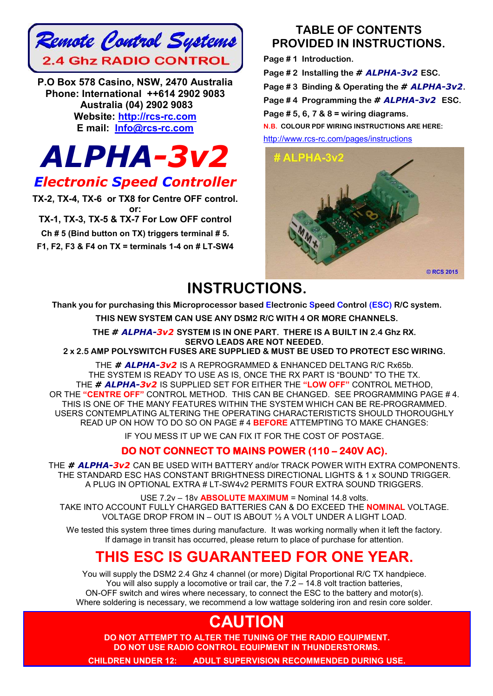

**P.O Box 578 Casino, NSW, 2470 Australia Phone: International ++614 2902 9083 Australia (04) 2902 9083 Website: http://rcs-rc.com E mail: Info@rcs-rc.com**

# *ALPHA-3v2*

### *Electronic Speed Controller*

**TX-2, TX-4, TX-6 or TX8 for Centre OFF control. or: TX-1, TX-3, TX-5 & TX-7 For Low OFF control Ch # 5 (Bind button on TX) triggers terminal # 5. F1, F2, F3 & F4 on TX = terminals 1-4 on # LT-SW4**

### **TABLE OF CONTENTS PROVIDED IN INSTRUCTIONS.**

**Page # 1 Introduction. Page # 2 Installing the** *# ALPHA-3v2* **ESC. Page # 3 Binding & Operating the** *# ALPHA-3v2***. Page # 4 Programming the** *# ALPHA-3v2* **ESC. Page # 5, 6, 7 & 8 = wiring diagrams. N.B. COLOUR PDF WIRING INSTRUCTIONS ARE HERE:** http://www.rcs-rc.com/pages/instructions



### **INSTRUCTIONS.**

**Thank you for purchasing this Microprocessor based Electronic Speed Control (ESC) R/C system.**

**THIS NEW SYSTEM CAN USE ANY DSM2 R/C WITH 4 OR MORE CHANNELS.**

**THE** *# ALPHA-3v2* **SYSTEM IS IN ONE PART. THERE IS A BUILT IN 2.4 Ghz RX. SERVO LEADS ARE NOT NEEDED.**

**2 x 2.5 AMP POLYSWITCH FUSES ARE SUPPLIED & MUST BE USED TO PROTECT ESC WIRING.**

THE *# ALPHA-3v2* IS A REPROGRAMMED & ENHANCED DELTANG R/C Rx65b. THE SYSTEM IS READY TO USE AS IS, ONCE THE RX PART IS "BOUND" TO THE TX. THE *# ALPHA-3v2* IS SUPPLIED SET FOR EITHER THE **"LOW OFF"** CONTROL METHOD, OR THE **"CENTRE OFF"** CONTROL METHOD. THIS CAN BE CHANGED. SEE PROGRAMMING PAGE # 4. THIS IS ONE OF THE MANY FEATURES WITHIN THE SYSTEM WHICH CAN BE RE-PROGRAMMED. USERS CONTEMPLATING ALTERING THE OPERATING CHARACTERISTICTS SHOULD THOROUGHLY READ UP ON HOW TO DO SO ON PAGE # 4 **BEFORE** ATTEMPTING TO MAKE CHANGES:

IF YOU MESS IT UP WE CAN FIX IT FOR THE COST OF POSTAGE.

### **DO NOT CONNECT TO MAINS POWER (110 – 240V AC).**

THE *# ALPHA-3v2* CAN BE USED WITH BATTERY and/or TRACK POWER WITH EXTRA COMPONENTS. THE STANDARD ESC HAS CONSTANT BRIGHTNESS DIRECTIONAL LIGHTS & 1 x SOUND TRIGGER. A PLUG IN OPTIONAL EXTRA # LT-SW4v2 PERMITS FOUR EXTRA SOUND TRIGGERS.

USE 7.2v – 18v **ABSOLUTE MAXIMUM** = Nominal 14.8 volts. TAKE INTO ACCOUNT FULLY CHARGED BATTERIES CAN & DO EXCEED THE **NOMINAL** VOLTAGE. VOLTAGE DROP FROM IN – OUT IS ABOUT ½ A VOLT UNDER A LIGHT LOAD.

We tested this system three times during manufacture. It was working normally when it left the factory. If damage in transit has occurred, please return to place of purchase for attention.

### **THIS ESC IS GUARANTEED FOR ONE YEAR.**

You will supply the DSM2 2.4 Ghz 4 channel (or more) Digital Proportional R/C TX handpiece. You will also supply a locomotive or trail car, the  $7.\overline{2} - 14.8$  volt traction batteries, ON-OFF switch and wires where necessary, to connect the ESC to the battery and motor(s). Where soldering is necessary, we recommend a low wattage soldering iron and resin core solder.

## **CAUTION**

**DO NOT ATTEMPT TO ALTER THE TUNING OF THE RADIO EQUIPMENT. DO NOT USE RADIO CONTROL EQUIPMENT IN THUNDERSTORMS.**

**CHILDREN UNDER 12: ADULT SUPERVISION RECOMMENDED DURING USE.**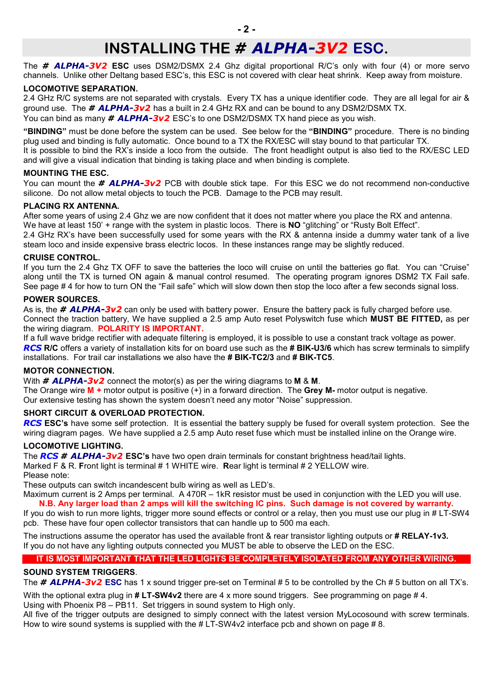### **INSTALLING THE** *# ALPHA-3V2* **ESC.**

The *# ALPHA-3V2* **ESC** uses DSM2/DSMX 2.4 Ghz digital proportional R/C's only with four (4) or more servo channels. Unlike other Deltang based ESC's, this ESC is not covered with clear heat shrink. Keep away from moisture.

#### **LOCOMOTIVE SEPARATION.**

2.4 GHz R/C systems are not separated with crystals. Every TX has a unique identifier code. They are all legal for air & ground use. The *# ALPHA-3v2* has a built in 2.4 GHz RX and can be bound to any DSM2/DSMX TX. You can bind as many *# ALPHA-3v2* ESC's to one DSM2/DSMX TX hand piece as you wish.

**"BINDING"** must be done before the system can be used. See below for the **"BINDING"** procedure. There is no binding plug used and binding is fully automatic. Once bound to a TX the RX/ESC will stay bound to that particular TX. It is possible to bind the RX's inside a loco from the outside. The front headlight output is also tied to the RX/ESC LED and will give a visual indication that binding is taking place and when binding is complete.

#### **MOUNTING THE ESC.**

You can mount the *# ALPHA-3v2* PCB with double stick tape. For this ESC we do not recommend non-conductive silicone. Do not allow metal objects to touch the PCB. Damage to the PCB may result.

#### **PLACING RX ANTENNA.**

After some years of using 2.4 Ghz we are now confident that it does not matter where you place the RX and antenna. We have at least 150' + range with the system in plastic locos. There is **NO** "glitching" or "Rusty Bolt Effect". 2.4 GHz RX's have been successfully used for some years with the RX & antenna inside a dummy water tank of a live steam loco and inside expensive brass electric locos. In these instances range may be slightly reduced.

#### **CRUISE CONTROL.**

If you turn the 2.4 Ghz TX OFF to save the batteries the loco will cruise on until the batteries go flat. You can "Cruise" along until the TX is turned ON again & manual control resumed. The operating program ignores DSM2 TX Fail safe. See page # 4 for how to turn ON the "Fail safe" which will slow down then stop the loco after a few seconds signal loss.

#### **POWER SOURCES.**

As is, the *# ALPHA-3v2* can only be used with battery power. Ensure the battery pack is fully charged before use. Connect the traction battery, We have supplied a 2.5 amp Auto reset Polyswitch fuse which **MUST BE FITTED,** as per the wiring diagram. **POLARITY IS IMPORTANT.**

If a full wave bridge rectifier with adequate filtering is employed, it is possible to use a constant track voltage as power. *RCS* **R/C** offers a variety of installation kits for on board use such as the **# BIK-U3/6** which has screw terminals to simplify installations. For trail car installations we also have the **# BIK-TC2/3** and **# BIK-TC5**.

#### **MOTOR CONNECTION.**

With *# ALPHA-3v2* connect the motor(s) as per the wiring diagrams to **M** & **M**.

The Orange wire **M +** motor output is positive (+) in a forward direction. The **Grey M-** motor output is negative. Our extensive testing has shown the system doesn't need any motor "Noise" suppression.

#### **SHORT CIRCUIT & OVERLOAD PROTECTION.**

*RCS* **ESC's** have some self protection. It is essential the battery supply be fused for overall system protection. See the wiring diagram pages. We have supplied a 2.5 amp Auto reset fuse which must be installed inline on the Orange wire.

#### **LOCOMOTIVE LIGHTING.**

The *RCS # ALPHA-3v2* **ESC's** have two open drain terminals for constant brightness head/tail lights.

Marked F & R. **F**ront light is terminal # 1 WHITE wire. **R**ear light is terminal # 2 YELLOW wire.

Please note:

These outputs can switch incandescent bulb wiring as well as LED's.

Maximum current is 2 Amps per terminal. A 470R – 1kR resistor must be used in conjunction with the LED you will use. **N.B. Any larger load than 2 amps will kill the switching IC pins. Such damage is not covered by warranty.**

If you do wish to run more lights, trigger more sound effects or control or a relay, then you must use our plug in # LT-SW4 pcb. These have four open collector transistors that can handle up to 500 ma each.

The instructions assume the operator has used the available front & rear transistor lighting outputs or **# RELAY-1v3.** If you do not have any lighting outputs connected you MUST be able to observe the LED on the ESC.

#### **IT IS MOST IMPORTANT THAT THE LED LIGHTS BE COMPLETELY ISOLATED FROM ANY OTHER WIRING.**

#### **SOUND SYSTEM TRIGGERS**.

The **# ALPHA-3v2 ESC** has 1 x sound trigger pre-set on Terminal # 5 to be controlled by the Ch # 5 button on all TX's.

With the optional extra plug in **# LT-SW4v2** there are 4 x more sound triggers. See programming on page # 4.

Using with Phoenix P8 – PB11. Set triggers in sound system to High only.

All five of the trigger outputs are designed to simply connect with the latest version MyLocosound with screw terminals. How to wire sound systems is supplied with the #LT-SW4v2 interface pcb and shown on page #8.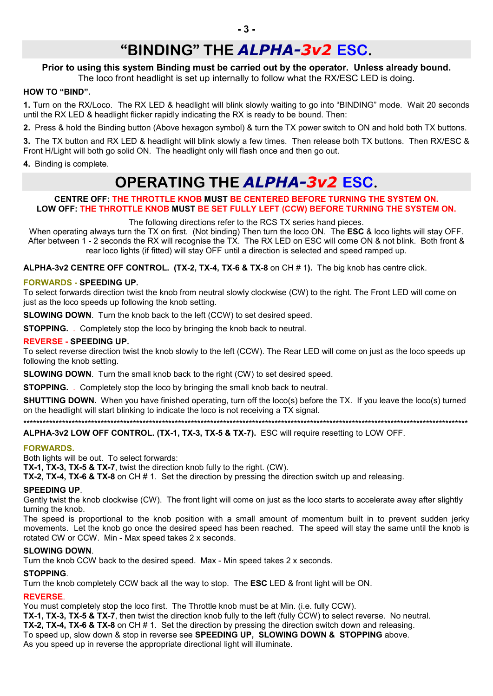### **"BINDING" THE** *ALPHA-3v2* **ESC.**

#### **Prior to using this system Binding must be carried out by the operator. Unless already bound.**

The loco front headlight is set up internally to follow what the RX/ESC LED is doing.

#### **HOW TO "BIND".**

**1.** Turn on the RX/Loco. The RX LED & headlight will blink slowly waiting to go into "BINDING" mode. Wait 20 seconds until the RX LED & headlight flicker rapidly indicating the RX is ready to be bound. Then:

**2.** Press & hold the Binding button (Above hexagon symbol) & turn the TX power switch to ON and hold both TX buttons.

**3.** The TX button and RX LED & headlight will blink slowly a few times. Then release both TX buttons. Then RX/ESC & Front H/Light will both go solid ON. The headlight only will flash once and then go out.

**4.** Binding is complete.

### **OPERATING THE** *ALPHA-3v2* **ESC.**

#### **CENTRE OFF: THE THROTTLE KNOB MUST BE CENTERED BEFORE TURNING THE SYSTEM ON. LOW OFF: THE THROTTLE KNOB MUST BE SET FULLY LEFT (CCW) BEFORE TURNING THE SYSTEM ON.**

The following directions refer to the RCS TX series hand pieces.

When operating always turn the TX on first. (Not binding) Then turn the loco ON. The **ESC** & loco lights will stay OFF. After between 1 - 2 seconds the RX will recognise the TX. The RX LED on ESC will come ON & not blink. Both front & rear loco lights (if fitted) will stay OFF until a direction is selected and speed ramped up.

**ALPHA-3v2 CENTRE OFF CONTROL. (TX-2, TX-4, TX-6 & TX-8** on CH # 1**).** The big knob has centre click.

#### **FORWARDS - SPEEDING UP.**

To select forwards direction twist the knob from neutral slowly clockwise (CW) to the right. The Front LED will come on just as the loco speeds up following the knob setting.

**SLOWING DOWN.** Turn the knob back to the left (CCW) to set desired speed.

**STOPPING.** . Completely stop the loco by bringing the knob back to neutral.

#### **REVERSE - SPEEDING UP.**

To select reverse direction twist the knob slowly to the left (CCW). The Rear LED will come on just as the loco speeds up following the knob setting.

**SLOWING DOWN.** Turn the small knob back to the right (CW) to set desired speed.

**STOPPING.** . Completely stop the loco by bringing the small knob back to neutral.

**SHUTTING DOWN.** When you have finished operating, turn off the loco(s) before the TX. If you leave the loco(s) turned on the headlight will start blinking to indicate the loco is not receiving a TX signal.

\*\*\*\*\*\*\*\*\*\*\*\*\*\*\*\*\*\*\*\*\*\*\*\*\*\*\*\*\*\*\*\*\*\*\*\*\*\*\*\*\*\*\*\*\*\*\*\*\*\*\*\*\*\*\*\*\*\*\*\*\*\*\*\*\*\*\*\*\*\*\*\*\*\*\*\*\*\*\*\*\*\*\*\*\*\*\*\*\*\*\*\*\*\*\*\*\*\*\*\*\*\*\*\*\*\*\*\*\*\*\*\*\*\*\*\*\*\*\*\*\*\*\*\*\*\*\*\*\*\*\*\*\*\*\*\*\*\*

#### **ALPHA-3v2 LOW OFF CONTROL. (TX-1, TX-3, TX-5 & TX-7).** ESC will require resetting to LOW OFF.

#### **FORWARDS.**

Both lights will be out. To select forwards:

**TX-1, TX-3, TX-5 & TX-7**, twist the direction knob fully to the right. (CW).

**TX-2, TX-4, TX-6 & TX-8** on CH # 1. Set the direction by pressing the direction switch up and releasing.

#### **SPEEDING UP**.

Gently twist the knob clockwise (CW). The front light will come on just as the loco starts to accelerate away after slightly turning the knob.

The speed is proportional to the knob position with a small amount of momentum built in to prevent sudden jerky movements. Let the knob go once the desired speed has been reached. The speed will stay the same until the knob is rotated CW or CCW. Min - Max speed takes 2 x seconds.

#### **SLOWING DOWN**.

Turn the knob CCW back to the desired speed. Max - Min speed takes 2 x seconds.

#### **STOPPING**.

Turn the knob completely CCW back all the way to stop. The **ESC** LED & front light will be ON.

#### **REVERSE**.

You must completely stop the loco first. The Throttle knob must be at Min. (i.e. fully CCW).

**TX-1, TX-3, TX-5 & TX-7**, then twist the direction knob fully to the left (fully CCW) to select reverse. No neutral.

**TX-2, TX-4, TX-6 & TX-8** on CH # 1. Set the direction by pressing the direction switch down and releasing. To speed up, slow down & stop in reverse see **SPEEDING UP, SLOWING DOWN & STOPPING** above.

As you speed up in reverse the appropriate directional light will illuminate.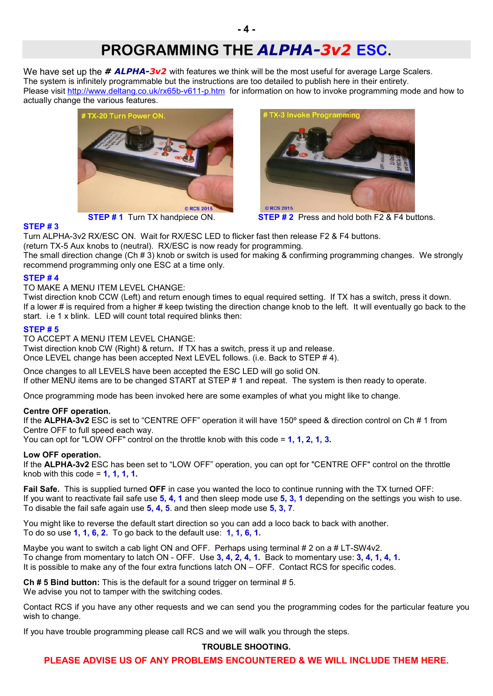## **PROGRAMMING THE** *ALPHA-3v2* **ESC.**

We have set up the **# ALPHA-3v2** with features we think will be the most useful for average Large Scalers. The system is infinitely programmable but the instructions are too detailed to publish here in their entirety. Please visit http://www.deltang.co.uk/rx65b-v611-p.htm for information on how to invoke programming mode and how to actually change the various features.





**STEP # 1** Turn TX handpiece ON. **STEP # 2** Press and hold both F2 & F4 buttons.

#### **STEP # 3**

Turn ALPHA-3v2 RX/ESC ON. Wait for RX/ESC LED to flicker fast then release F2 & F4 buttons. (return TX-5 Aux knobs to (neutral). RX/ESC is now ready for programming.

The small direction change (Ch # 3) knob or switch is used for making & confirming programming changes. We strongly recommend programming only one ESC at a time only.

#### **STEP # 4**

TO MAKE A MENU ITEM LEVEL CHANGE:

Twist direction knob CCW (Left) and return enough times to equal required setting. If TX has a switch, press it down. If a lower # is required from a higher # keep twisting the direction change knob to the left. It will eventually go back to the start. i.e 1 x blink. LED will count total required blinks then:

#### **STEP # 5**

TO ACCEPT A MENU ITEM LEVEL CHANGE:

Twist direction knob CW (Right) & return**.** If TX has a switch, press it up and release. Once LEVEL change has been accepted Next LEVEL follows. (i.e. Back to STEP # 4).

Once changes to all LEVELS have been accepted the ESC LED will go solid ON. If other MENU items are to be changed START at STEP # 1 and repeat. The system is then ready to operate.

Once programming mode has been invoked here are some examples of what you might like to change.

#### **Centre OFF operation.**

If the **ALPHA-3v2** ESC is set to "CENTRE OFF" operation it will have 150º speed & direction control on Ch # 1 from Centre OFF to full speed each way.

You can opt for "LOW OFF" control on the throttle knob with this code = **1, 1, 2, 1, 3.**

#### **Low OFF operation.**

If the **ALPHA-3v2** ESC has been set to "LOW OFF" operation, you can opt for "CENTRE OFF" control on the throttle knob with this code = **1, 1, 1, 1.**

**Fail Safe.** This is supplied turned **OFF** in case you wanted the loco to continue running with the TX turned OFF: If you want to reactivate fail safe use **5, 4, 1** and then sleep mode use **5, 3, 1** depending on the settings you wish to use. To disable the fail safe again use **5, 4, 5**. and then sleep mode use **5, 3, 7**.

You might like to reverse the default start direction so you can add a loco back to back with another. To do so use **1, 1, 6, 2.** To go back to the default use: **1, 1, 6, 1.**

Maybe you want to switch a cab light ON and OFF. Perhaps using terminal # 2 on a # LT-SW4v2. To change from momentary to latch ON - OFF. Use **3, 4, 2, 4, 1.** Back to momentary use: **3, 4, 1, 4, 1.** It is possible to make any of the four extra functions latch ON – OFF. Contact RCS for specific codes.

**Ch # 5 Bind button:** This is the default for a sound trigger on terminal # 5. We advise you not to tamper with the switching codes.

Contact RCS if you have any other requests and we can send you the programming codes for the particular feature you wish to change.

If you have trouble programming please call RCS and we will walk you through the steps.

#### **TROUBLE SHOOTING.**

**PLEASE ADVISE US OF ANY PROBLEMS ENCOUNTERED & WE WILL INCLUDE THEM HERE.**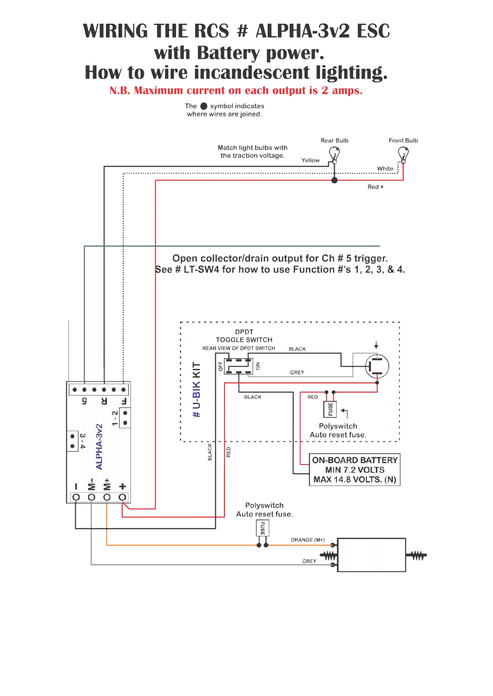# **WIRING THE RCS # ALPHA-3v2 ESC** with Battery power. How to wire incandescent lighting.

N.B. Maximum current on each output is 2 amps.

The  $\bullet$  symbol indicates where wires are joined.

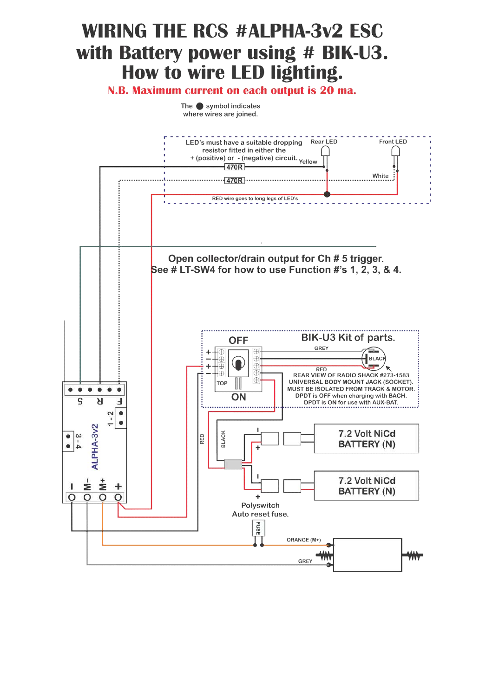# **WIRING THE RCS #ALPHA-3v2 ESC** with Battery power using # BIK-U3. How to wire LED lighting.

### N.B. Maximum current on each output is 20 ma.

The  $\bullet$  symbol indicates where wires are joined.

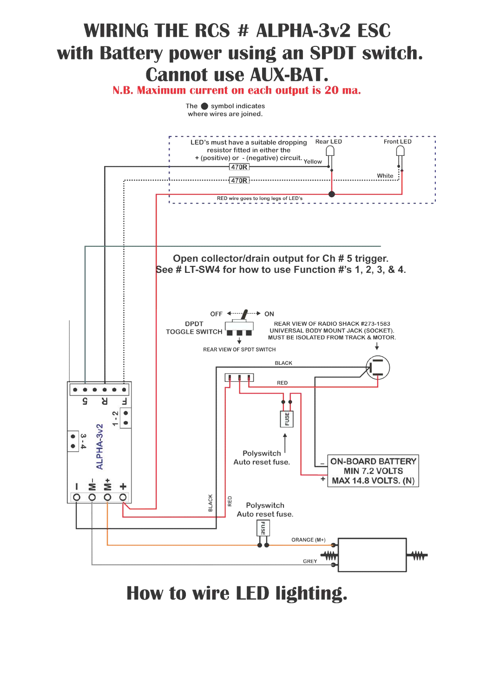# **WIRING THE RCS # ALPHA-3v2 ESC** with Battery power using an SPDT switch. **Cannot use AUX-BAT.**

N.B. Maximum current on each output is 20 ma.

The  $\bullet$  symbol indicates where wires are joined.



How to wire LED lighting.